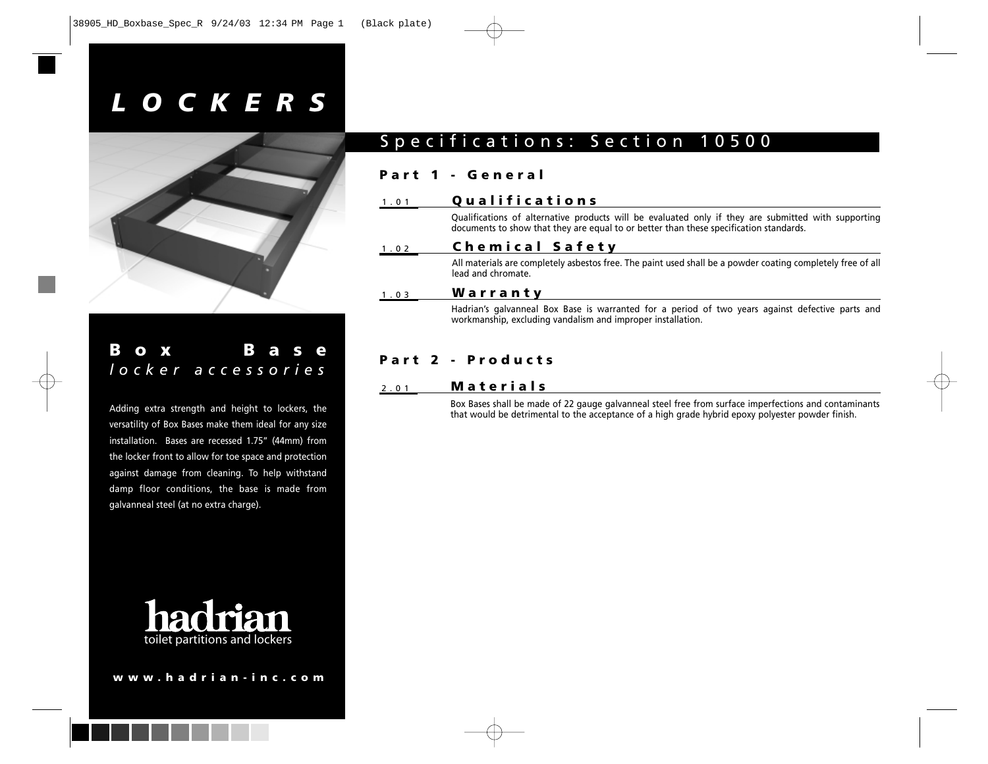# *LOCKERS*



### **Box Base** *locker accessories*

Adding extra strength and height to lockers, the versatility of Box Bases make them ideal for any size installation. Bases are recessed 1.75" (44mm) from the locker front to allow for toe space and protection against damage from cleaning. To help withstand damp floor conditions, the base is made from galvanneal steel (at no extra charge).



## Specifications: Section 10500

#### **Part 1 - General**

#### 1.01 **Qualifications**

Qualifications of alternative products will be evaluated only if they are submitted with supporting documents to show that they are equal to or better than these specification standards.

#### 1.02 **Chemical Safety**

All materials are completely asbestos free. The paint used shall be a powder coating completely free of all lead and chromate.

#### 1.03 **Warranty**

Hadrian's galvanneal Box Base is warranted for a period of two years against defective parts and workmanship, excluding vandalism and improper installation.

### **Part 2 - Products**

#### 2.01 **Materials**

Box Bases shall be made of 22 gauge galvanneal steel free from surface imperfections and contaminants that would be detrimental to the acceptance of a high grade hybrid epoxy polyester powder finish.